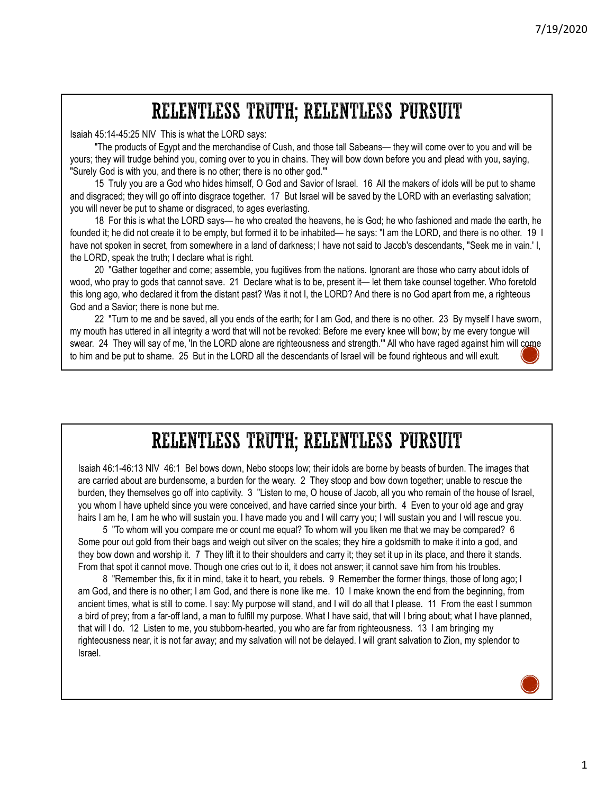Isaiah 45:14-45:25 NIV This is what the LORD says:

**The products of Egypt and the merchandise of Cush, and those tall Sabeans— they will come over to you and will be the products of Egypt and the merchandise of Cush, and those tall Sabeans— they will come over to you and w** yours; they will trudge behind you, coming over to you in chains. They will bow down before you and plead with you, saying, "Surely God is with you, and there is no other; there is no other god.'"

15 Truly you are a God who hides himself, O God and Savior of Israel. 16 All the makers of idols will be put to shame and disgraced; they will go off into disgrace together. 17 But Israel will be saved by the LORD with an everlasting salvation; you will never be put to shame or disgraced, to ages everlasting.

7/19/2020<br> **RELENTILESS TRUTH; RELENTILESS PURSUIT**<br>
45:14-45:25 NIV This is what the LORD says:<br>
The products of Egypt and the merchandeles of Cush, and those tail Sabeans— they will come over to you and will be<br>
they wi **FOUNDED INTERT AND THE SET AND THE SET AND THE SET AND THE SET AND THE SET AND THE PROPORT ON A SIGN OF THE PROPORT ON THE PROPORT ON THE PROPORT ON THE PROPORT ON THE PROPORT ON THE PROPORT ON THE PROPORT ON THE PROPORT** have not spoken in secret, from somewhere in a land of darkness; I have not said to Jacob's descendants, "Seek me in vain.' I, the LORD, speak the truth; I declare what is right. 7/19/2020<br> **WELENTILESS TRUTH; RELENTILESS PURSUIT**<br>
"The products of Egypt and the mechandse of Cush, and those tall Sabeans— they will come over to you and will be<br>
yours; they will trudge behind you, coming over to you

20 "Gather together and come; assemble, you fugitives from the nations. Ignorant are those who carry about idols of this long ago, who declared it from the distant past? Was it not I, the LORD? And there is no God apart from me, a righteous God and a Savior; there is none but me.

22 "Turn to me and be saved, all you ends of the earth; for I am God, and there is no other. 23 By myself I have sworn, my mouth has uttered in all integrity a word that will not be revoked: Before me every knee will bow; by me every tongue will swear. 24 They will say of me. 'In the LORD alone are righteousness and strength." All who have raged against him will come to him and be put to shame. 25 But in the LORD all the descendants of Israel will be found righteous and will exult.



Isaiah 46:1-46:13 NIV 46:1 Bel bows down, Nebo stoops low; their idols are borne by beasts of burden. The images that are carried about are burdensome, a burden for the weary. 2 They stoop and bow down together; unable to rescue the burden, they themselves go off into captivity. 3 "Listen to me, O house of Jacob, all you who remain of the house of Israel, you whom I have upheld since you were conceived, and have carried since your birth. 4 Even to your old age and gray hairs I am he, I am he who will sustain you. I have made you and I will carry you; I will sustain you and I will rescue you.

5 "To whom will you compare me or count me equal? To whom will you liken me that we may be compared? 6 Some pour out gold from their bags and weigh out silver on the scales; they hire a goldsmith to make it into a god, and they bow down and worship it. 7 They lift it to their shoulders and carry it; they set it up in its place, and there it stands. From that spot it cannot move. Though one cries out to it, it does not answer; it cannot save him from his troubles.

8 "Remember this, fix it in mind, take it to heart, you rebels. 9 Remember the former things, those of long ago; I am God, and there is no other; I am God, and there is none like me. 10 I make known the end from the beginning, from ancient times, what is still to come. I say: My purpose will stand, and I will do all that I please. 11 From the east I summon a bird of prey; from a far-off land, a man to fulfill my purpose. What I have said, that will I bring about; what I have planned, that will I do. 12 Listen to me, you stubborn-hearted, you who are far from righteousness. 13 I am bringing my righteousness near, it is not far away; and my salvation will not be delayed. I will grant salvation to Zion, my splendor to Israel.